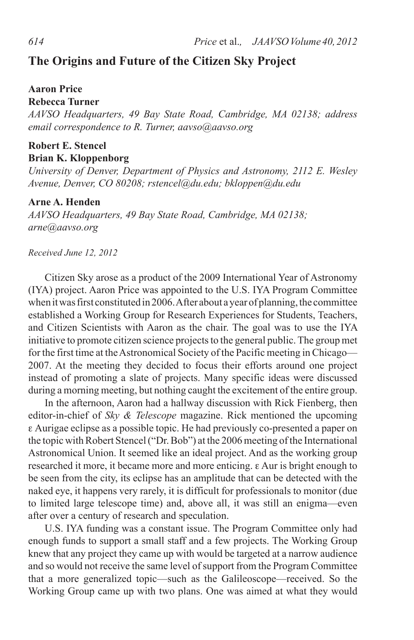# **The Origins and Future of the Citizen Sky Project**

### **Aaron Price**

#### **Rebecca Turner**

*AAVSO Headquarters, 49 Bay State Road, Cambridge, MA 02138; address email correspondence to R. Turner, aavso@aavso.org*

### **Robert E. Stencel Brian K. Kloppenborg**

*University of Denver, Department of Physics and Astronomy, 2112 E. Wesley Avenue, Denver, CO 80208; rstencel@du.edu; bkloppen@du.edu*

## **Arne A. Henden**

*AAVSO Headquarters, 49 Bay State Road, Cambridge, MA 02138; arne@aavso.org*

*Received June 12, 2012*

Citizen Sky arose as a product of the 2009 International Year of Astronomy (IYA) project. Aaron Price was appointed to the U.S. IYA Program Committee when it was first constituted in 2006. After about a year of planning, the committee established a Working Group for Research Experiences for Students, Teachers, and Citizen Scientists with Aaron as the chair. The goal was to use the IYA initiative to promote citizen science projects to the general public. The group met for the first time at the Astronomical Society of the Pacific meeting in Chicago— 2007. At the meeting they decided to focus their efforts around one project instead of promoting a slate of projects. Many specific ideas were discussed during a morning meeting, but nothing caught the excitement of the entire group.

In the afternoon, Aaron had a hallway discussion with Rick Fienberg, then editor-in-chief of *Sky & Telescope* magazine. Rick mentioned the upcoming e Aurigae eclipse as a possible topic. He had previously co-presented a paper on the topic with Robert Stencel ("Dr. Bob") at the 2006 meeting of the International Astronomical Union. It seemed like an ideal project. And as the working group researched it more, it became more and more enticing. e Aur is bright enough to be seen from the city, its eclipse has an amplitude that can be detected with the naked eye, it happens very rarely, it is difficult for professionals to monitor (due to limited large telescope time) and, above all, it was still an enigma—even after over a century of research and speculation.

U.S. IYA funding was a constant issue. The Program Committee only had enough funds to support a small staff and a few projects. The Working Group knew that any project they came up with would be targeted at a narrow audience and so would not receive the same level of support from the Program Committee that a more generalized topic—such as the Galileoscope—received. So the Working Group came up with two plans. One was aimed at what they would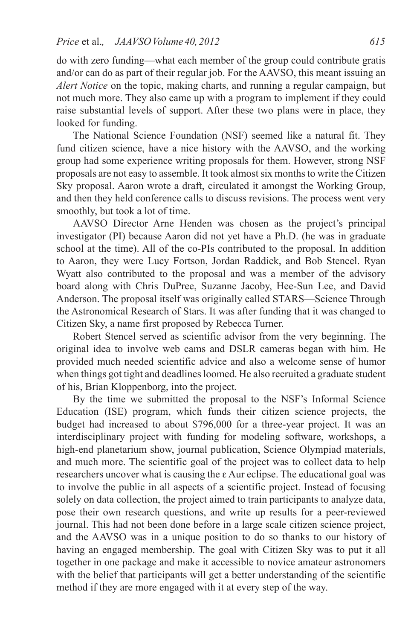do with zero funding—what each member of the group could contribute gratis and/or can do as part of their regular job. For the AAVSO, this meant issuing an *Alert Notice* on the topic, making charts, and running a regular campaign, but not much more. They also came up with a program to implement if they could raise substantial levels of support. After these two plans were in place, they looked for funding.

The National Science Foundation (NSF) seemed like a natural fit. They fund citizen science, have a nice history with the AAVSO, and the working group had some experience writing proposals for them. However, strong NSF proposals are not easy to assemble. It took almost six months to write the Citizen Sky proposal. Aaron wrote a draft, circulated it amongst the Working Group, and then they held conference calls to discuss revisions. The process went very smoothly, but took a lot of time.

AAVSO Director Arne Henden was chosen as the project's principal investigator (PI) because Aaron did not yet have a Ph.D. (he was in graduate school at the time). All of the co-PIs contributed to the proposal. In addition to Aaron, they were Lucy Fortson, Jordan Raddick, and Bob Stencel. Ryan Wyatt also contributed to the proposal and was a member of the advisory board along with Chris DuPree, Suzanne Jacoby, Hee-Sun Lee, and David Anderson. The proposal itself was originally called STARS—Science Through the Astronomical Research of Stars. It was after funding that it was changed to Citizen Sky, a name first proposed by Rebecca Turner.

Robert Stencel served as scientific advisor from the very beginning. The original idea to involve web cams and DSLR cameras began with him. He provided much needed scientific advice and also a welcome sense of humor when things got tight and deadlines loomed. He also recruited a graduate student of his, Brian Kloppenborg, into the project.

By the time we submitted the proposal to the NSF's Informal Science Education (ISE) program, which funds their citizen science projects, the budget had increased to about \$796,000 for a three-year project. It was an interdisciplinary project with funding for modeling software, workshops, a high-end planetarium show, journal publication, Science Olympiad materials, and much more. The scientific goal of the project was to collect data to help researchers uncover what is causing the e Aur eclipse. The educational goal was to involve the public in all aspects of a scientific project. Instead of focusing solely on data collection, the project aimed to train participants to analyze data, pose their own research questions, and write up results for a peer-reviewed journal. This had not been done before in a large scale citizen science project, and the AAVSO was in a unique position to do so thanks to our history of having an engaged membership. The goal with Citizen Sky was to put it all together in one package and make it accessible to novice amateur astronomers with the belief that participants will get a better understanding of the scientific method if they are more engaged with it at every step of the way.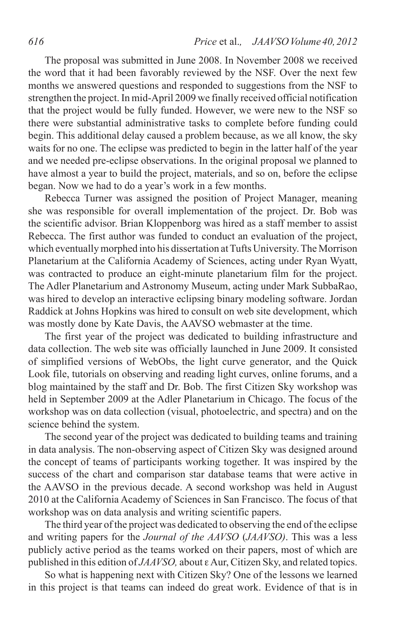The proposal was submitted in June 2008. In November 2008 we received the word that it had been favorably reviewed by the NSF. Over the next few months we answered questions and responded to suggestions from the NSF to strengthen the project. In mid-April 2009 we finally received official notification that the project would be fully funded. However, we were new to the NSF so there were substantial administrative tasks to complete before funding could begin. This additional delay caused a problem because, as we all know, the sky waits for no one. The eclipse was predicted to begin in the latter half of the year and we needed pre-eclipse observations. In the original proposal we planned to have almost a year to build the project, materials, and so on, before the eclipse began. Now we had to do a year's work in a few months.

Rebecca Turner was assigned the position of Project Manager, meaning she was responsible for overall implementation of the project. Dr. Bob was the scientific advisor. Brian Kloppenborg was hired as a staff member to assist Rebecca. The first author was funded to conduct an evaluation of the project, which eventually morphed into his dissertation at Tufts University. The Morrison Planetarium at the California Academy of Sciences, acting under Ryan Wyatt, was contracted to produce an eight-minute planetarium film for the project. The Adler Planetarium and Astronomy Museum, acting under Mark SubbaRao, was hired to develop an interactive eclipsing binary modeling software. Jordan Raddick at Johns Hopkins was hired to consult on web site development, which was mostly done by Kate Davis, the AAVSO webmaster at the time.

The first year of the project was dedicated to building infrastructure and data collection. The web site was officially launched in June 2009. It consisted of simplified versions of WebObs, the light curve generator, and the Quick Look file, tutorials on observing and reading light curves, online forums, and a blog maintained by the staff and Dr. Bob. The first Citizen Sky workshop was held in September 2009 at the Adler Planetarium in Chicago. The focus of the workshop was on data collection (visual, photoelectric, and spectra) and on the science behind the system.

The second year of the project was dedicated to building teams and training in data analysis. The non-observing aspect of Citizen Sky was designed around the concept of teams of participants working together. It was inspired by the success of the chart and comparison star database teams that were active in the AAVSO in the previous decade. A second workshop was held in August 2010 at the California Academy of Sciences in San Francisco. The focus of that workshop was on data analysis and writing scientific papers.

The third year of the project was dedicated to observing the end of the eclipse and writing papers for the *Journal of the AAVSO* (*JAAVSO)*. This was a less publicly active period as the teams worked on their papers, most of which are published in this edition of *JAAVSO,* about e Aur, Citizen Sky, and related topics.

So what is happening next with Citizen Sky? One of the lessons we learned in this project is that teams can indeed do great work. Evidence of that is in